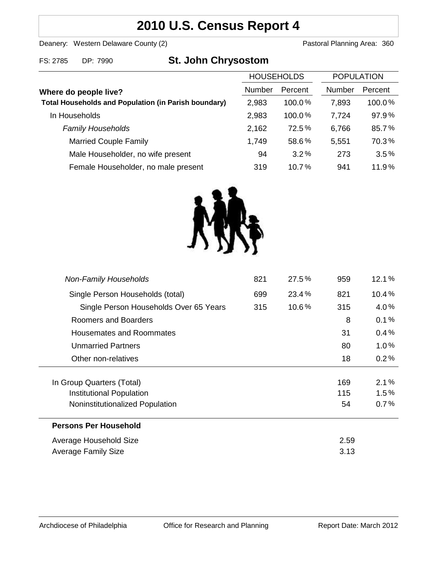# **2010 U.S. Census Report 4**

Deanery: Western Delaware County (2) Deanery: Western Delaware County (2)

FS: 2785 DP: 7990 **St. John Chrysostom**

|                                                             | <b>HOUSEHOLDS</b> |           | <b>POPULATION</b> |         |
|-------------------------------------------------------------|-------------------|-----------|-------------------|---------|
| Where do people live?                                       | Number            | Percent   | <b>Number</b>     | Percent |
| <b>Total Households and Population (in Parish boundary)</b> | 2,983             | $100.0\%$ | 7,893             | 100.0%  |
| In Households                                               | 2,983             | 100.0%    | 7,724             | 97.9%   |
| <b>Family Households</b>                                    | 2,162             | 72.5%     | 6,766             | 85.7%   |
| <b>Married Couple Family</b>                                | 1,749             | 58.6%     | 5,551             | 70.3%   |
| Male Householder, no wife present                           | 94                | 3.2%      | 273               | 3.5%    |
| Female Householder, no male present                         | 319               | 10.7%     | 941               | 11.9%   |



| <b>Non-Family Households</b>           | 821 | 27.5% | 959  | 12.1%   |
|----------------------------------------|-----|-------|------|---------|
| Single Person Households (total)       | 699 | 23.4% | 821  | 10.4%   |
| Single Person Households Over 65 Years | 315 | 10.6% | 315  | $4.0\%$ |
| Roomers and Boarders                   |     |       | 8    | 0.1%    |
| Housemates and Roommates               |     |       | 31   | 0.4%    |
| Unmarried Partners                     |     |       | 80   | $1.0\%$ |
| Other non-relatives                    |     |       | 18   | 0.2%    |
|                                        |     |       |      |         |
| In Group Quarters (Total)              |     |       | 169  | $2.1\%$ |
| Institutional Population               |     |       | 115  | $1.5\%$ |
| Noninstitutionalized Population        |     |       | 54   | 0.7%    |
| <b>Persons Per Household</b>           |     |       |      |         |
| Average Household Size                 |     |       | 2.59 |         |
| Average Family Size                    |     |       | 3.13 |         |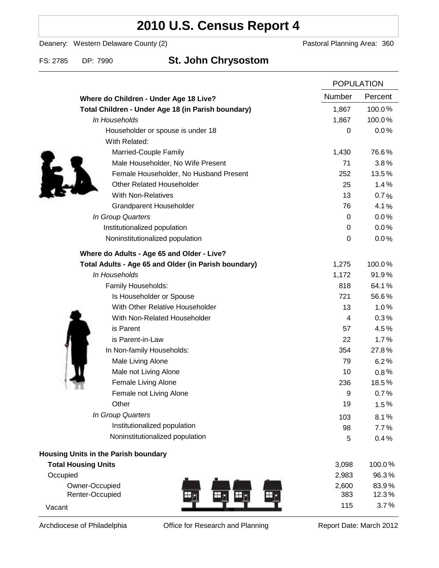# **2010 U.S. Census Report 4**

Deanery: Western Delaware County (2) Deanery: Western Delaware County (2)

### FS: 2785 DP: 7990 **St. John Chrysostom**

|                                                      |        | <b>POPULATION</b> |  |
|------------------------------------------------------|--------|-------------------|--|
| Where do Children - Under Age 18 Live?               | Number | Percent           |  |
| Total Children - Under Age 18 (in Parish boundary)   | 1,867  | 100.0%            |  |
| In Households                                        | 1,867  | 100.0%            |  |
| Householder or spouse is under 18                    | 0      | 0.0%              |  |
| With Related:                                        |        |                   |  |
| Married-Couple Family                                | 1,430  | 76.6%             |  |
| Male Householder, No Wife Present                    | 71     | 3.8%              |  |
| Female Householder, No Husband Present               | 252    | 13.5%             |  |
| <b>Other Related Householder</b>                     | 25     | 1.4%              |  |
| <b>With Non-Relatives</b>                            | 13     | 0.7%              |  |
| <b>Grandparent Householder</b>                       | 76     | 4.1%              |  |
| In Group Quarters                                    | 0      | 0.0%              |  |
| Institutionalized population                         | 0      | 0.0%              |  |
| Noninstitutionalized population                      | 0      | 0.0%              |  |
| Where do Adults - Age 65 and Older - Live?           |        |                   |  |
| Total Adults - Age 65 and Older (in Parish boundary) | 1,275  | 100.0%            |  |
| In Households                                        | 1,172  | 91.9%             |  |
| Family Households:                                   | 818    | 64.1%             |  |
| Is Householder or Spouse                             | 721    | 56.6%             |  |
| With Other Relative Householder                      | 13     | 1.0%              |  |
| With Non-Related Householder                         | 4      | 0.3%              |  |
| is Parent                                            | 57     | 4.5%              |  |
| is Parent-in-Law                                     | 22     | 1.7%              |  |
| In Non-family Households:                            | 354    | 27.8%             |  |
| Male Living Alone                                    | 79     | 6.2%              |  |
| Male not Living Alone                                | 10     | $0.8\%$           |  |
| Female Living Alone                                  | 236    | 18.5%             |  |
| Female not Living Alone                              | 9      | 0.7%              |  |
| Other                                                | 19     | 1.5%              |  |
| In Group Quarters                                    | 103    | 8.1%              |  |
| Institutionalized population                         | 98     | 7.7%              |  |
| Noninstitutionalized population                      | 5      | 0.4%              |  |
| <b>Housing Units in the Parish boundary</b>          |        |                   |  |
| <b>Total Housing Units</b>                           | 3,098  | 100.0%            |  |
| Occupied                                             | 2,983  | 96.3%             |  |
| Owner-Occupied                                       | 2,600  | 83.9%             |  |
| Renter-Occupied<br>H.                                | 383    | 12.3%             |  |
| Vacant                                               | 115    | 3.7%              |  |

Archdiocese of Philadelphia **Office for Research and Planning** Report Date: March 2012